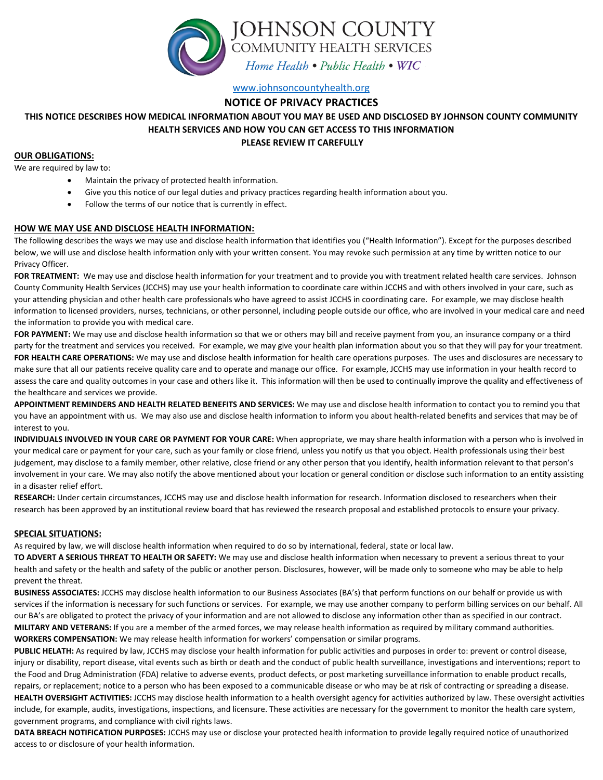

[www.johnsoncountyhealth.org](http://www.johnsoncountyhealth.org/)

## **NOTICE OF PRIVACY PRACTICES**

# **THIS NOTICE DESCRIBES HOW MEDICAL INFORMATION ABOUT YOU MAY BE USED AND DISCLOSED BY JOHNSON COUNTY COMMUNITY HEALTH SERVICES AND HOW YOU CAN GET ACCESS TO THIS INFORMATION**

#### **PLEASE REVIEW IT CAREFULLY**

#### **OUR OBLIGATIONS:**

We are required by law to:

- Maintain the privacy of protected health information.
- Give you this notice of our legal duties and privacy practices regarding health information about you.
- Follow the terms of our notice that is currently in effect.

### **HOW WE MAY USE AND DISCLOSE HEALTH INFORMATION:**

The following describes the ways we may use and disclose health information that identifies you ("Health Information"). Except for the purposes described below, we will use and disclose health information only with your written consent. You may revoke such permission at any time by written notice to our Privacy Officer.

**FOR TREATMENT:** We may use and disclose health information for your treatment and to provide you with treatment related health care services. Johnson County Community Health Services (JCCHS) may use your health information to coordinate care within JCCHS and with others involved in your care, such as your attending physician and other health care professionals who have agreed to assist JCCHS in coordinating care. For example, we may disclose health information to licensed providers, nurses, technicians, or other personnel, including people outside our office, who are involved in your medical care and need the information to provide you with medical care.

**FOR PAYMENT:** We may use and disclose health information so that we or others may bill and receive payment from you, an insurance company or a third party for the treatment and services you received. For example, we may give your health plan information about you so that they will pay for your treatment. **FOR HEALTH CARE OPERATIONS:** We may use and disclose health information for health care operations purposes. The uses and disclosures are necessary to make sure that all our patients receive quality care and to operate and manage our office. For example, JCCHS may use information in your health record to assess the care and quality outcomes in your case and others like it. This information will then be used to continually improve the quality and effectiveness of the healthcare and services we provide.

**APPOINTMENT REMINDERS AND HEALTH RELATED BENEFITS AND SERVICES:** We may use and disclose health information to contact you to remind you that you have an appointment with us. We may also use and disclose health information to inform you about health-related benefits and services that may be of interest to you.

**INDIVIDUALS INVOLVED IN YOUR CARE OR PAYMENT FOR YOUR CARE:** When appropriate, we may share health information with a person who is involved in your medical care or payment for your care, such as your family or close friend, unless you notify us that you object. Health professionals using their best judgement, may disclose to a family member, other relative, close friend or any other person that you identify, health information relevant to that person's involvement in your care. We may also notify the above mentioned about your location or general condition or disclose such information to an entity assisting in a disaster relief effort.

RESEARCH: Under certain circumstances, JCCHS may use and disclose health information for research. Information disclosed to researchers when their research has been approved by an institutional review board that has reviewed the research proposal and established protocols to ensure your privacy.

#### **SPECIAL SITUATIONS:**

As required by law, we will disclose health information when required to do so by international, federal, state or local law.

**TO ADVERT A SERIOUS THREAT TO HEALTH OR SAFETY:** We may use and disclose health information when necessary to prevent a serious threat to your health and safety or the health and safety of the public or another person. Disclosures, however, will be made only to someone who may be able to help prevent the threat.

**BUSINESS ASSOCIATES:** JCCHS may disclose health information to our Business Associates (BA's) that perform functions on our behalf or provide us with services if the information is necessary for such functions or services. For example, we may use another company to perform billing services on our behalf. All our BA's are obligated to protect the privacy of your information and are not allowed to disclose any information other than as specified in our contract. **MILITARY AND VETERANS:** If you are a member of the armed forces, we may release health information as required by military command authorities. **WORKERS COMPENSATION:** We may release health information for workers' compensation or similar programs.

**PUBLIC HELATH:** As required by law, JCCHS may disclose your health information for public activities and purposes in order to: prevent or control disease, injury or disability, report disease, vital events such as birth or death and the conduct of public health surveillance, investigations and interventions; report to the Food and Drug Administration (FDA) relative to adverse events, product defects, or post marketing surveillance information to enable product recalls, repairs, or replacement; notice to a person who has been exposed to a communicable disease or who may be at risk of contracting or spreading a disease. **HEALTH OVERSIGHT ACTIVITIES:** JCCHS may disclose health information to a health oversight agency for activities authorized by law. These oversight activities include, for example, audits, investigations, inspections, and licensure. These activities are necessary for the government to monitor the health care system, government programs, and compliance with civil rights laws.

**DATA BREACH NOTIFICATION PURPOSES:** JCCHS may use or disclose your protected health information to provide legally required notice of unauthorized access to or disclosure of your health information.